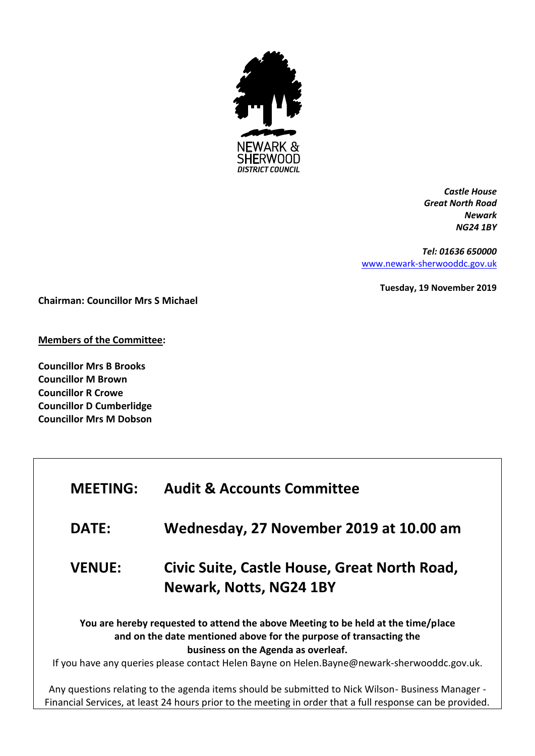

*Castle House Great North Road Newark NG24 1BY*

*Tel: 01636 650000* [www.newark-sherwooddc.gov.uk](http://www.newark-sherwooddc.gov.uk/)

**Tuesday, 19 November 2019**

**Chairman: Councillor Mrs S Michael**

**Members of the Committee:**

**Councillor Mrs B Brooks Councillor M Brown Councillor R Crowe Councillor D Cumberlidge Councillor Mrs M Dobson**

| <b>MEETING:</b>                                                                                                                                                                                                                                                                               | <b>Audit &amp; Accounts Committee</b>                                                                                                                                                                         |  |
|-----------------------------------------------------------------------------------------------------------------------------------------------------------------------------------------------------------------------------------------------------------------------------------------------|---------------------------------------------------------------------------------------------------------------------------------------------------------------------------------------------------------------|--|
| <b>DATE:</b>                                                                                                                                                                                                                                                                                  | Wednesday, 27 November 2019 at 10.00 am                                                                                                                                                                       |  |
| <b>VENUE:</b>                                                                                                                                                                                                                                                                                 | Civic Suite, Castle House, Great North Road,<br><b>Newark, Notts, NG24 1BY</b>                                                                                                                                |  |
| You are hereby requested to attend the above Meeting to be held at the time/place<br>and on the date mentioned above for the purpose of transacting the<br>business on the Agenda as overleaf.<br>If you have any queries please contact Helen Bayne on Helen.Bayne@newark-sherwooddc.gov.uk. |                                                                                                                                                                                                               |  |
|                                                                                                                                                                                                                                                                                               | Any questions relating to the agenda items should be submitted to Nick Wilson-Business Manager -<br>Financial Services, at least 24 hours prior to the meeting in order that a full response can be provided. |  |